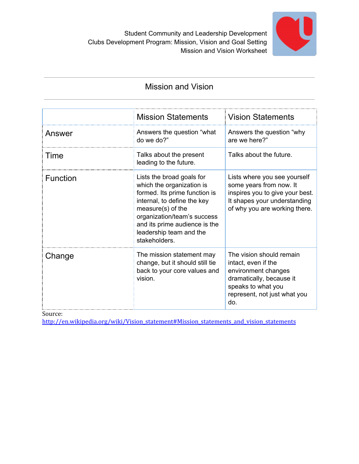

## Mission and Vision

|                 | <b>Mission Statements</b>                                                                                                                                                                                                                               | <b>Vision Statements</b>                                                                                                                                        |
|-----------------|---------------------------------------------------------------------------------------------------------------------------------------------------------------------------------------------------------------------------------------------------------|-----------------------------------------------------------------------------------------------------------------------------------------------------------------|
| Answer          | Answers the question "what<br>do we do?"                                                                                                                                                                                                                | Answers the question "why"<br>are we here?"                                                                                                                     |
| Time            | Talks about the present<br>leading to the future.                                                                                                                                                                                                       | Talks about the future.                                                                                                                                         |
| <b>Function</b> | Lists the broad goals for<br>which the organization is<br>formed. Its prime function is<br>internal, to define the key<br>measure(s) of the<br>organization/team's success<br>and its prime audience is the<br>leadership team and the<br>stakeholders. | Lists where you see yourself<br>some years from now. It<br>inspires you to give your best.<br>It shapes your understanding<br>of why you are working there.     |
| Change          | The mission statement may<br>change, but it should still tie<br>back to your core values and<br>vision.                                                                                                                                                 | The vision should remain<br>intact, even if the<br>environment changes<br>dramatically, because it<br>speaks to what you<br>represent, not just what you<br>do. |

Source:

[http://en.wikipedia.org/wiki/Vision\\_statement#Mission\\_statements\\_and\\_vision\\_statements](http://en.wikipedia.org/wiki/Vision_statement#Mission_statements_and_vision_statements)